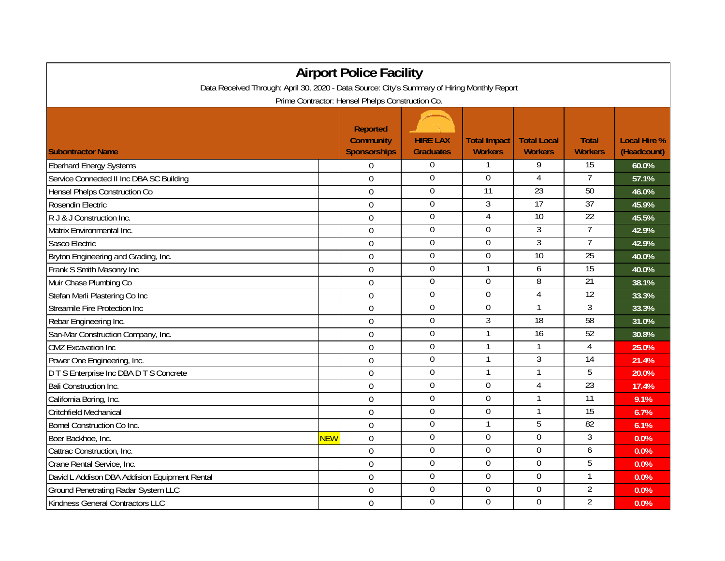| <b>Airport Police Facility</b>                                                               |            |                                                            |                                     |                                       |                                      |                                |                                    |  |  |  |  |  |  |
|----------------------------------------------------------------------------------------------|------------|------------------------------------------------------------|-------------------------------------|---------------------------------------|--------------------------------------|--------------------------------|------------------------------------|--|--|--|--|--|--|
| Data Received Through: April 30, 2020 - Data Source: City's Summary of Hiring Monthly Report |            |                                                            |                                     |                                       |                                      |                                |                                    |  |  |  |  |  |  |
| Prime Contractor: Hensel Phelps Construction Co.                                             |            |                                                            |                                     |                                       |                                      |                                |                                    |  |  |  |  |  |  |
| <b>Subontractor Name</b>                                                                     |            | <b>Reported</b><br><b>Community</b><br><b>Sponsorships</b> | <b>HIRE LAX</b><br><b>Graduates</b> | <b>Total Impact</b><br><b>Workers</b> | <b>Total Local</b><br><b>Workers</b> | <b>Total</b><br><b>Workers</b> | <b>Local Hire %</b><br>(Headcount) |  |  |  |  |  |  |
| <b>Eberhard Energy Systems</b>                                                               |            | $\overline{0}$                                             | $\boldsymbol{0}$                    |                                       | 9                                    | 15                             | 60.0%                              |  |  |  |  |  |  |
| Service Connected II Inc DBA SC Building                                                     |            | $\Omega$                                                   | 0                                   | $\overline{0}$                        | 4                                    | $\overline{7}$                 | 57.1%                              |  |  |  |  |  |  |
| Hensel Phelps Construction Co                                                                |            | $\overline{0}$                                             | $\mathbf 0$                         | 11                                    | 23                                   | 50                             | 46.0%                              |  |  |  |  |  |  |
| Rosendin Electric                                                                            |            | $\mathbf 0$                                                | $\overline{0}$                      | $\overline{3}$                        | 17                                   | 37                             | 45.9%                              |  |  |  |  |  |  |
| R J & J Construction Inc.                                                                    |            | $\boldsymbol{0}$                                           | 0                                   | 4                                     | $\overline{10}$                      | $\overline{22}$                | 45.5%                              |  |  |  |  |  |  |
| Matrix Environmental Inc.                                                                    |            | $\mathbf 0$                                                | $\boldsymbol{0}$                    | $\boldsymbol{0}$                      | 3                                    | $\overline{7}$                 | 42.9%                              |  |  |  |  |  |  |
| Sasco Electric                                                                               |            | $\mathbf 0$                                                | $\overline{0}$                      | $\mathbf 0$                           | $\overline{3}$                       | $\overline{7}$                 | 42.9%                              |  |  |  |  |  |  |
| Bryton Engineering and Grading, Inc.                                                         |            | $\Omega$                                                   | $\overline{0}$                      | $\overline{0}$                        | 10                                   | 25                             | 40.0%                              |  |  |  |  |  |  |
| Frank S Smith Masonry Inc                                                                    |            | $\mathbf 0$                                                | $\mathbf 0$                         | $\mathbf{1}$                          | 6                                    | 15                             | 40.0%                              |  |  |  |  |  |  |
| Muir Chase Plumbing Co                                                                       |            | $\overline{0}$                                             | $\boldsymbol{0}$                    | $\mathbf 0$                           | 8                                    | $\overline{21}$                | 38.1%                              |  |  |  |  |  |  |
| Stefan Merli Plastering Co Inc                                                               |            | $\overline{0}$                                             | $\mathbf 0$                         | $\overline{0}$                        | 4                                    | $\overline{12}$                | 33.3%                              |  |  |  |  |  |  |
| Streamile Fire Protection Inc                                                                |            | $\overline{0}$                                             | $\boldsymbol{0}$                    | $\boldsymbol{0}$                      |                                      | 3                              | 33.3%                              |  |  |  |  |  |  |
| Rebar Engineering Inc.                                                                       |            | $\Omega$                                                   | $\overline{0}$                      | 3                                     | 18                                   | 58                             | 31.0%                              |  |  |  |  |  |  |
| San-Mar Construction Company, Inc.                                                           |            | $\mathbf 0$                                                | 0                                   | $\mathbf{1}$                          | 16                                   | 52                             | 30.8%                              |  |  |  |  |  |  |
| <b>CMZ</b> Excavation Inc                                                                    |            | $\mathbf 0$                                                | $\boldsymbol{0}$                    | $\mathbf{1}$                          | $\mathbf 1$                          | 4                              | 25.0%                              |  |  |  |  |  |  |
| Power One Engineering, Inc.                                                                  |            | $\overline{0}$                                             | $\overline{0}$                      | $\mathbf{1}$                          | $\overline{3}$                       | 14                             | 21.4%                              |  |  |  |  |  |  |
| D T S Enterprise Inc DBA D T S Concrete                                                      |            | $\overline{0}$                                             | $\overline{0}$                      | 1                                     | 1                                    | 5                              | 20.0%                              |  |  |  |  |  |  |
| <b>Bali Construction Inc.</b>                                                                |            | $\overline{0}$                                             | $\mathbf 0$                         | $\overline{0}$                        | 4                                    | $\overline{23}$                | 17.4%                              |  |  |  |  |  |  |
| California Boring, Inc.                                                                      |            | $\boldsymbol{0}$                                           | $\boldsymbol{0}$                    | $\overline{0}$                        |                                      | $\overline{11}$                | 9.1%                               |  |  |  |  |  |  |
| Critchfield Mechanical                                                                       |            | $\mathbf 0$                                                | $\boldsymbol{0}$                    | $\Omega$                              |                                      | $\overline{15}$                | 6.7%                               |  |  |  |  |  |  |
| <b>Bomel Construction Co Inc.</b>                                                            |            | $\overline{0}$                                             | $\overline{0}$                      | 1                                     | 5                                    | 82                             | 6.1%                               |  |  |  |  |  |  |
| Boer Backhoe, Inc.                                                                           | <b>NEW</b> | $\overline{0}$                                             | $\mathbf 0$                         | $\mathbf 0$                           | $\mathbf 0$                          | $\overline{3}$                 | 0.0%                               |  |  |  |  |  |  |
| Cattrac Construction, Inc.                                                                   |            | $\overline{0}$                                             | $\mathbf 0$                         | $\overline{0}$                        | $\overline{0}$                       | 6                              | 0.0%                               |  |  |  |  |  |  |
| Crane Rental Service, Inc.                                                                   |            | $\mathbf 0$                                                | 0                                   | $\Omega$                              | $\overline{0}$                       | 5                              | 0.0%                               |  |  |  |  |  |  |
| David L Addison DBA Addision Equipment Rental                                                |            | $\mathbf 0$                                                | $\overline{0}$                      | $\Omega$                              | 0                                    |                                | 0.0%                               |  |  |  |  |  |  |
| <b>Ground Penetrating Radar System LLC</b>                                                   |            | $\mathbf 0$                                                | $\boldsymbol{0}$                    | $\mathbf 0$                           | $\mathbf 0$                          | $\overline{2}$                 | 0.0%                               |  |  |  |  |  |  |
| Kindness General Contractors LLC                                                             |            | $\overline{0}$                                             | $\mathbf 0$                         | $\Omega$                              | $\overline{0}$                       | $\overline{2}$                 | 0.0%                               |  |  |  |  |  |  |